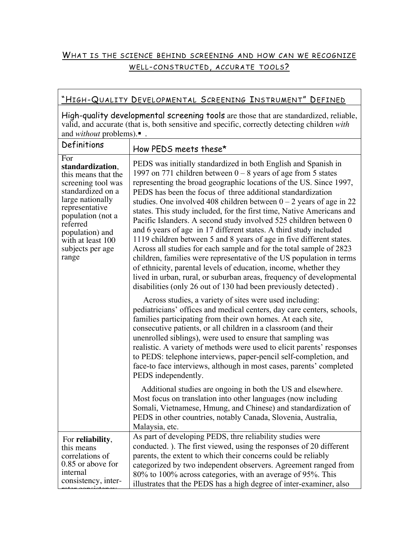## WHAT IS THE SCIENCE BEHIND SCREENING AND HOW CAN WE RECOGNIZE WELL-CONSTRUCTED, ACCURATE TOOLS?

| "HIGH-QUALITY DEVELOPMENTAL SCREENING INSTRUMENT" DEFINED                                                                                                                                                                             |                                                                                                                                                                                                                                                                                                                                                                                                                                                                                                                                                                                                                                                                                                                                                                                                                                                                                                                                       |  |  |  |
|---------------------------------------------------------------------------------------------------------------------------------------------------------------------------------------------------------------------------------------|---------------------------------------------------------------------------------------------------------------------------------------------------------------------------------------------------------------------------------------------------------------------------------------------------------------------------------------------------------------------------------------------------------------------------------------------------------------------------------------------------------------------------------------------------------------------------------------------------------------------------------------------------------------------------------------------------------------------------------------------------------------------------------------------------------------------------------------------------------------------------------------------------------------------------------------|--|--|--|
| High-quality developmental screening tools are those that are standardized, reliable,<br>valid, and accurate (that is, both sensitive and specific, correctly detecting children with<br>and <i>without</i> problems).■ .             |                                                                                                                                                                                                                                                                                                                                                                                                                                                                                                                                                                                                                                                                                                                                                                                                                                                                                                                                       |  |  |  |
| Definitions                                                                                                                                                                                                                           | How PEDS meets these*                                                                                                                                                                                                                                                                                                                                                                                                                                                                                                                                                                                                                                                                                                                                                                                                                                                                                                                 |  |  |  |
| For<br>standardization,<br>this means that the<br>screening tool was<br>standardized on a<br>large nationally<br>representative<br>population (not a<br>referred<br>population) and<br>with at least 100<br>subjects per age<br>range | PEDS was initially standardized in both English and Spanish in<br>1997 on 771 children between $0 - 8$ years of age from 5 states<br>representing the broad geographic locations of the US. Since 1997,<br>PEDS has been the focus of three additional standardization<br>studies. One involved 408 children between $0 - 2$ years of age in 22<br>states. This study included, for the first time, Native Americans and<br>Pacific Islanders. A second study involved 525 children between 0<br>and 6 years of age in 17 different states. A third study included<br>1119 children between 5 and 8 years of age in five different states.<br>Across all studies for each sample and for the total sample of 2823<br>children, families were representative of the US population in terms<br>of ethnicity, parental levels of education, income, whether they<br>lived in urban, rural, or suburban areas, frequency of developmental |  |  |  |
|                                                                                                                                                                                                                                       | disabilities (only 26 out of 130 had been previously detected).<br>Across studies, a variety of sites were used including:<br>pediatricians' offices and medical centers, day care centers, schools,<br>families participating from their own homes. At each site,<br>consecutive patients, or all children in a classroom (and their<br>unenrolled siblings), were used to ensure that sampling was<br>realistic. A variety of methods were used to elicit parents' responses<br>to PEDS: telephone interviews, paper-pencil self-completion, and<br>face-to face interviews, although in most cases, parents' completed<br>PEDS independently.<br>Additional studies are ongoing in both the US and elsewhere.<br>Most focus on translation into other languages (now including                                                                                                                                                     |  |  |  |
|                                                                                                                                                                                                                                       | Somali, Vietnamese, Hmung, and Chinese) and standardization of<br>PEDS in other countries, notably Canada, Slovenia, Australia,<br>Malaysia, etc.                                                                                                                                                                                                                                                                                                                                                                                                                                                                                                                                                                                                                                                                                                                                                                                     |  |  |  |
| For reliability,<br>this means<br>correlations of<br>0.85 or above for<br>internal<br>consistency, inter-                                                                                                                             | As part of developing PEDS, thre reliability studies were<br>conducted. ). The first viewed, using the responses of 20 different<br>parents, the extent to which their concerns could be reliably<br>categorized by two independent observers. Agreement ranged from<br>80% to 100% across categories, with an average of 95%. This<br>illustrates that the PEDS has a high degree of inter-examiner, also                                                                                                                                                                                                                                                                                                                                                                                                                                                                                                                            |  |  |  |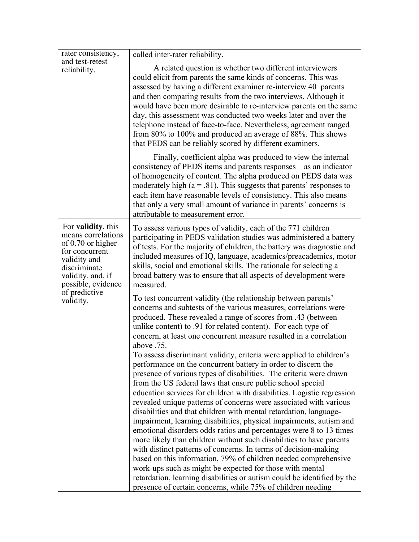| rater consistency,<br>and test-retest<br>reliability.                                                                                                                                            | called inter-rater reliability.                                                                                                                                                                                                                                                                                                                                                                                                                                                                                                                                                                                                                                                                                                                                                                                                                                                                                                                                                                                                                                          |  |
|--------------------------------------------------------------------------------------------------------------------------------------------------------------------------------------------------|--------------------------------------------------------------------------------------------------------------------------------------------------------------------------------------------------------------------------------------------------------------------------------------------------------------------------------------------------------------------------------------------------------------------------------------------------------------------------------------------------------------------------------------------------------------------------------------------------------------------------------------------------------------------------------------------------------------------------------------------------------------------------------------------------------------------------------------------------------------------------------------------------------------------------------------------------------------------------------------------------------------------------------------------------------------------------|--|
|                                                                                                                                                                                                  | A related question is whether two different interviewers<br>could elicit from parents the same kinds of concerns. This was<br>assessed by having a different examiner re-interview 40 parents<br>and then comparing results from the two interviews. Although it<br>would have been more desirable to re-interview parents on the same<br>day, this assessment was conducted two weeks later and over the<br>telephone instead of face-to-face. Nevertheless, agreement ranged<br>from 80% to 100% and produced an average of 88%. This shows<br>that PEDS can be reliably scored by different examiners.                                                                                                                                                                                                                                                                                                                                                                                                                                                                |  |
|                                                                                                                                                                                                  | Finally, coefficient alpha was produced to view the internal<br>consistency of PEDS items and parents responses—as an indicator<br>of homogeneity of content. The alpha produced on PEDS data was<br>moderately high ( $a = .81$ ). This suggests that parents' responses to<br>each item have reasonable levels of consistency. This also means<br>that only a very small amount of variance in parents' concerns is<br>attributable to measurement error.                                                                                                                                                                                                                                                                                                                                                                                                                                                                                                                                                                                                              |  |
| For <b>validity</b> , this<br>means correlations<br>of 0.70 or higher<br>for concurrent<br>validity and<br>discriminate<br>validity, and, if<br>possible, evidence<br>of predictive<br>validity. | To assess various types of validity, each of the 771 children<br>participating in PEDS validation studies was administered a battery<br>of tests. For the majority of children, the battery was diagnostic and<br>included measures of IQ, language, academics/preacademics, motor<br>skills, social and emotional skills. The rationale for selecting a<br>broad battery was to ensure that all aspects of development were<br>measured.<br>To test concurrent validity (the relationship between parents'<br>concerns and subtests of the various measures, correlations were<br>produced. These revealed a range of scores from .43 (between                                                                                                                                                                                                                                                                                                                                                                                                                          |  |
|                                                                                                                                                                                                  | unlike content) to .91 for related content). For each type of<br>concern, at least one concurrent measure resulted in a correlation<br>above .75.<br>To assess discriminant validity, criteria were applied to children's<br>performance on the concurrent battery in order to discern the<br>presence of various types of disabilities. The criteria were drawn<br>from the US federal laws that ensure public school special<br>education services for children with disabilities. Logistic regression<br>revealed unique patterns of concerns were associated with various<br>disabilities and that children with mental retardation, language-<br>impairment, learning disabilities, physical impairments, autism and<br>emotional disorders odds ratios and percentages were 8 to 13 times<br>more likely than children without such disabilities to have parents<br>with distinct patterns of concerns. In terms of decision-making<br>based on this information, 79% of children needed comprehensive<br>work-ups such as might be expected for those with mental |  |
|                                                                                                                                                                                                  | retardation, learning disabilities or autism could be identified by the<br>presence of certain concerns, while 75% of children needing                                                                                                                                                                                                                                                                                                                                                                                                                                                                                                                                                                                                                                                                                                                                                                                                                                                                                                                                   |  |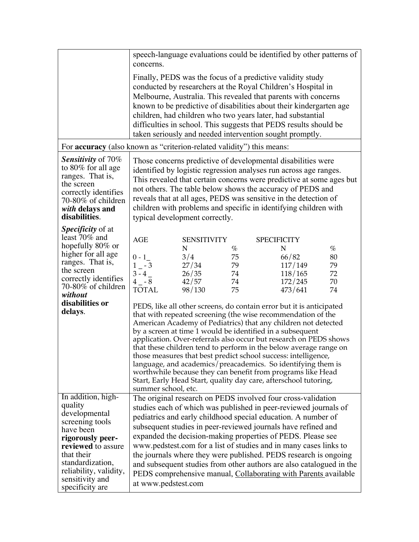|                                                                                                                                                                                                                            | speech-language evaluations could be identified by other patterns of<br>concerns.                                                                                                                                                                                                                                                                                                                                                                                   |                                                                                                                                                                                                                                                                                                                                                                                                                                                                                                                                                                                                                                                                                                                                                           |                                    |                    |                                                        |                                    |  |
|----------------------------------------------------------------------------------------------------------------------------------------------------------------------------------------------------------------------------|---------------------------------------------------------------------------------------------------------------------------------------------------------------------------------------------------------------------------------------------------------------------------------------------------------------------------------------------------------------------------------------------------------------------------------------------------------------------|-----------------------------------------------------------------------------------------------------------------------------------------------------------------------------------------------------------------------------------------------------------------------------------------------------------------------------------------------------------------------------------------------------------------------------------------------------------------------------------------------------------------------------------------------------------------------------------------------------------------------------------------------------------------------------------------------------------------------------------------------------------|------------------------------------|--------------------|--------------------------------------------------------|------------------------------------|--|
|                                                                                                                                                                                                                            | Finally, PEDS was the focus of a predictive validity study<br>conducted by researchers at the Royal Children's Hospital in<br>Melbourne, Australia. This revealed that parents with concerns<br>known to be predictive of disabilities about their kindergarten age<br>children, had children who two years later, had substantial<br>difficulties in school. This suggests that PEDS results should be<br>taken seriously and needed intervention sought promptly. |                                                                                                                                                                                                                                                                                                                                                                                                                                                                                                                                                                                                                                                                                                                                                           |                                    |                    |                                                        |                                    |  |
| For <b>accuracy</b> (also known as "criterion-related validity") this means:                                                                                                                                               |                                                                                                                                                                                                                                                                                                                                                                                                                                                                     |                                                                                                                                                                                                                                                                                                                                                                                                                                                                                                                                                                                                                                                                                                                                                           |                                    |                    |                                                        |                                    |  |
| <b>Sensitivity of 70%</b><br>to $80\%$ for all age<br>ranges. That is,<br>the screen<br>correctly identifies<br>70-80% of children<br>with delays and<br>disabilities.                                                     | Those concerns predictive of developmental disabilities were<br>identified by logistic regression analyses run across age ranges.<br>This revealed that certain concerns were predictive at some ages but<br>not others. The table below shows the accuracy of PEDS and<br>reveals that at all ages, PEDS was sensitive in the detection of<br>children with problems and specific in identifying children with<br>typical development correctly.                   |                                                                                                                                                                                                                                                                                                                                                                                                                                                                                                                                                                                                                                                                                                                                                           |                                    |                    |                                                        |                                    |  |
| <i>Specificity</i> of at<br>least 70% and<br>hopefully 80% or<br>higher for all age<br>ranges. That is,<br>the screen<br>correctly identifies<br>70-80% of children<br>without<br>disabilities or<br>delays.               | <b>AGE</b><br>$0 - 1$<br>$1 - 3$<br>$3 - 4$<br>$4 - 8$<br><b>TOTAL</b><br>summer school, etc.                                                                                                                                                                                                                                                                                                                                                                       | <b>SENSITIVITY</b><br>N<br>3/4<br>27/34<br>26/35<br>42/57<br>98/130<br>PEDS, like all other screens, do contain error but it is anticipated<br>that with repeated screening (the wise recommendation of the<br>American Academy of Pediatrics) that any children not detected<br>by a screen at time 1 would be identified in a subsequent<br>application. Over-referrals also occur but research on PEDS shows<br>that these children tend to perform in the below average range on<br>those measures that best predict school success: intelligence,<br>language, and academics/preacademics. So identifying them is<br>worthwhile because they can benefit from programs like Head<br>Start, Early Head Start, quality day care, afterschool tutoring, | $\%$<br>75<br>79<br>74<br>74<br>75 | <b>SPECIFICITY</b> | N<br>66/82<br>117/149<br>118/165<br>172/245<br>473/641 | $\%$<br>80<br>79<br>72<br>70<br>74 |  |
| In addition, high-<br>quality<br>developmental<br>screening tools<br>have been<br>rigorously peer-<br>reviewed to assure<br>that their<br>standardization,<br>reliability, validity,<br>sensitivity and<br>specificity are | at www.pedstest.com                                                                                                                                                                                                                                                                                                                                                                                                                                                 | The original research on PEDS involved four cross-validation<br>studies each of which was published in peer-reviewed journals of<br>pediatrics and early childhood special education. A number of<br>subsequent studies in peer-reviewed journals have refined and<br>expanded the decision-making properties of PEDS. Please see<br>www.pedstest.com for a list of studies and in many cases links to<br>the journals where they were published. PEDS research is ongoing<br>and subsequent studies from other authors are also catalogued in the<br>PEDS comprehensive manual, Collaborating with Parents available                                                                                                                                     |                                    |                    |                                                        |                                    |  |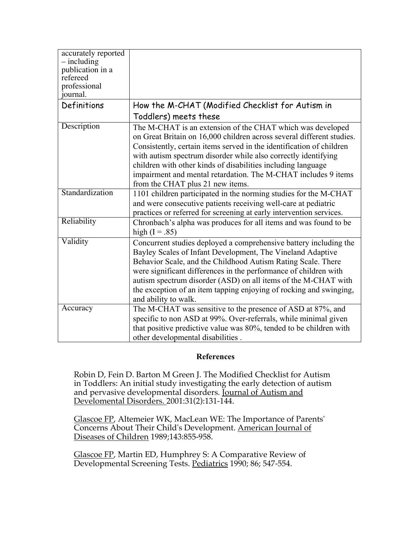| accurately reported<br>$-$ including<br>publication in a<br>refereed |                                                                                                                                                                                                                                                                                                                                                                                                                                                     |
|----------------------------------------------------------------------|-----------------------------------------------------------------------------------------------------------------------------------------------------------------------------------------------------------------------------------------------------------------------------------------------------------------------------------------------------------------------------------------------------------------------------------------------------|
| professional<br>ournal.                                              |                                                                                                                                                                                                                                                                                                                                                                                                                                                     |
| Definitions                                                          | How the M-CHAT (Modified Checklist for Autism in                                                                                                                                                                                                                                                                                                                                                                                                    |
|                                                                      | Toddlers) meets these                                                                                                                                                                                                                                                                                                                                                                                                                               |
| Description                                                          | The M-CHAT is an extension of the CHAT which was developed<br>on Great Britain on 16,000 children across several different studies.<br>Consistently, certain items served in the identification of children<br>with autism spectrum disorder while also correctly identifying<br>children with other kinds of disabilities including language<br>impairment and mental retardation. The M-CHAT includes 9 items<br>from the CHAT plus 21 new items. |
| Standardization                                                      | 1101 children participated in the norming studies for the M-CHAT<br>and were consecutive patients receiving well-care at pediatric<br>practices or referred for screening at early intervention services.                                                                                                                                                                                                                                           |
| Reliability                                                          | Chronbach's alpha was produces for all items and was found to be<br>high $(I = .85)$                                                                                                                                                                                                                                                                                                                                                                |
| Validity                                                             | Concurrent studies deployed a comprehensive battery including the<br>Bayley Scales of Infant Development, The Vineland Adaptive<br>Behavior Scale, and the Childhood Autism Rating Scale. There<br>were significant differences in the performance of children with<br>autism spectrum disorder (ASD) on all items of the M-CHAT with<br>the exception of an item tapping enjoying of rocking and swinging,<br>and ability to walk.                 |
| Accuracy                                                             | The M-CHAT was sensitive to the presence of ASD at 87%, and<br>specific to non ASD at 99%. Over-referrals, while minimal given<br>that positive predictive value was 80%, tended to be children with<br>other developmental disabilities.                                                                                                                                                                                                           |

## References

Robin D, Fein D. Barton M Green J. The Modified Checklist for Autism in Toddlers: An initial study investigating the early detection of autism and pervasive developmental disorders. Journal of Autism and Develomental Disorders. 2001:31(2):131-144.

Glascoe FP, Altemeier WK, MacLean WE: The Importance of Parents' Concerns About Their Child's Development. American Journal of Diseases of Children 1989;143:855-958.

Glascoe FP, Martin ED, Humphrey S: A Comparative Review of Developmental Screening Tests. Pediatrics 1990; 86; 547-554.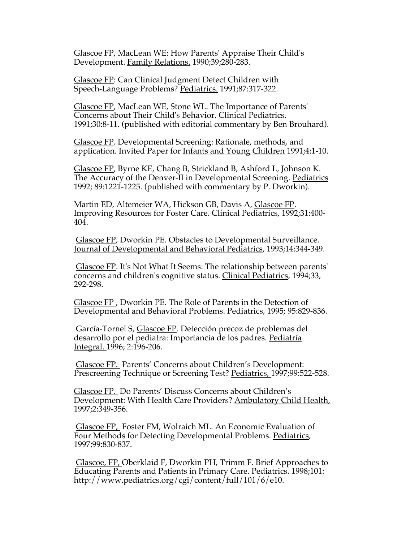Glascoe FP, MacLean WE: How Parents' Appraise Their Child's Development. Family Relations. 1990;39;280-283.

Glascoe FP: Can Clinical Judgment Detect Children with Speech-Language Problems? Pediatrics. 1991;87:317-322.

Glascoe FP, MacLean WE, Stone WL. The Importance of Parents' Concerns about Their Child's Behavior. Clinical Pediatrics. 1991;30:8-11. (published with editorial commentary by Ben Brouhard).

Glascoe FP. Developmental Screening: Rationale, methods, and application. Invited Paper for **Infants and Young Children** 1991;4:1-10.

Glascoe FP, Byrne KE, Chang B, Strickland B, Ashford L, Johnson K. The Accuracy of the Denver-II in Developmental Screening. Pediatrics 1992; 89:1221-1225. (published with commentary by P. Dworkin).

Martin ED, Altemeier WA, Hickson GB, Davis A, Glascoe FP. Improving Resources for Foster Care. Clinical Pediatrics, 1992;31:400- 404.

 Glascoe FP, Dworkin PE. Obstacles to Developmental Surveillance. Journal of Developmental and Behavioral Pediatrics, 1993;14:344-349.

 Glascoe FP. It's Not What It Seems: The relationship between parents' concerns and children's cognitive status. Clinical Pediatrics, 1994;33, 292-298.

Glascoe FP , Dworkin PE. The Role of Parents in the Detection of Developmental and Behavioral Problems. Pediatrics, 1995; 95:829-836.

García-Tornel S, Glascoe FP. Detección precoz de problemas del desarrollo por el pediatra: Importancia de los padres. Pediatría Integral. 1996; 2:196-206.

 Glascoe FP. Parents' Concerns about Children's Development: Prescreening Technique or Screening Test? Pediatrics, 1997;99:522-528.

Glascoe FP. Do Parents' Discuss Concerns about Children's Development: With Health Care Providers? Ambulatory Child Health, 1997;2:349-356.

 Glascoe FP, Foster FM, Wolraich ML. An Economic Evaluation of Four Methods for Detecting Developmental Problems. Pediatrics, 1997;99:830-837.

 Glascoe, FP, Oberklaid F, Dworkin PH, Trimm F. Brief Approaches to Educating Parents and Patients in Primary Care. Pediatrics. 1998;101: http://www.pediatrics.org/cgi/content/full/101/6/e10.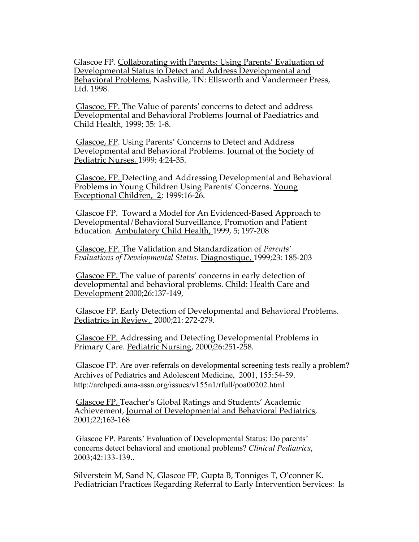Glascoe FP. Collaborating with Parents: Using Parents' Evaluation of Developmental Status to Detect and Address Developmental and Behavioral Problems. Nashville, TN: Ellsworth and Vandermeer Press, Ltd. 1998.

 Glascoe, FP. The Value of parents' concerns to detect and address Developmental and Behavioral Problems Journal of Paediatrics and Child Health, 1999; 35: 1-8.

 Glascoe, FP. Using Parents' Concerns to Detect and Address Developmental and Behavioral Problems. Journal of the Society of Pediatric Nurses, 1999; 4:24-35.

 Glascoe, FP. Detecting and Addressing Developmental and Behavioral Problems in Young Children Using Parents' Concerns. Young Exceptional Children, 2; 1999:16-26.

 Glascoe FP. Toward a Model for An Evidenced-Based Approach to Developmental/Behavioral Surveillance, Promotion and Patient Education. Ambulatory Child Health, 1999, 5; 197-208

 Glascoe, FP. The Validation and Standardization of *Parents' Evaluations of Developmental Status.* Diagnostique, 1999;23: 185-203

 Glascoe FP. The value of parents' concerns in early detection of developmental and behavioral problems. Child: Health Care and Development 2000;26:137-149,

 Glascoe FP. Early Detection of Developmental and Behavioral Problems. Pediatrics in Review. 2000;21: 272-279.

 Glascoe FP. Addressing and Detecting Developmental Problems in Primary Care. Pediatric Nursing, 2000;26:251-258.

 Glascoe FP. Are over-referrals on developmental screening tests really a problem? Archives of Pediatrics and Adolescent Medicine, 2001, 155:54-59. http://archpedi.ama-assn.org/issues/v155n1/rfull/poa00202.html

 Glascoe FP. Teacher's Global Ratings and Students' Academic Achievement, Journal of Developmental and Behavioral Pediatrics, 2001;22;163-168

 Glascoe FP. Parents' Evaluation of Developmental Status: Do parents' concerns detect behavioral and emotional problems? *Clinical Pediatrics*, 2003;42:133-139..

Silverstein M, Sand N, Glascoe FP, Gupta B, Tonniges T, O'conner K. Pediatrician Practices Regarding Referral to Early Intervention Services: Is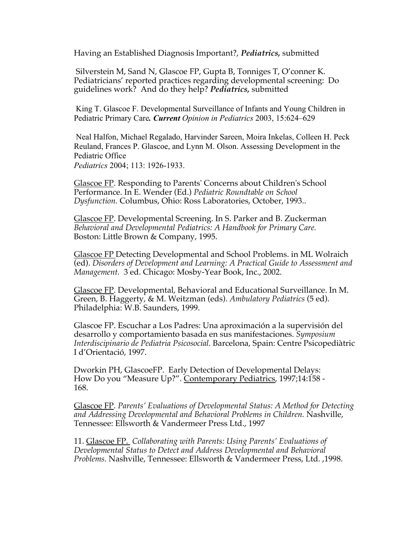Having an Established Diagnosis Important?, *Pediatrics,* submitted

 Silverstein M, Sand N, Glascoe FP, Gupta B, Tonniges T, O'conner K. Pediatricians' reported practices regarding developmental screening: Do guidelines work? And do they help? *Pediatrics,* submitted

 King T. Glascoe F. Developmental Surveillance of Infants and Young Children in Pediatric Primary Care*. Current Opinion in Pediatrics* 2003, 15:624–629

 Neal Halfon, Michael Regalado, Harvinder Sareen, Moira Inkelas, Colleen H. Peck Reuland, Frances P. Glascoe, and Lynn M. Olson. Assessing Development in the Pediatric Office *Pediatrics* 2004; 113: 1926-1933.

Glascoe FP. Responding to Parents' Concerns about Children's School Performance. In E. Wender (Ed.) *Pediatric Roundtable on School Dysfunction.* Columbus, Ohio: Ross Laboratories, October, 1993..

Glascoe FP. Developmental Screening. In S. Parker and B. Zuckerman *Behavioral and Developmental Pediatrics: A Handbook for Primary Care.* Boston: Little Brown & Company, 1995.

Glascoe FP Detecting Developmental and School Problems. in ML Wolraich (ed). *Disorders of Development and Learning: A Practical Guide to Assessment and Management.* 3 ed. Chicago: Mosby-Year Book, Inc., 2002.

Glascoe FP. Developmental, Behavioral and Educational Surveillance. In M. Green, B. Haggerty, & M. Weitzman (eds). *Ambulatory Pediatrics* (5 ed). Philadelphia: W.B. Saunders, 1999.

Glascoe FP. Escuchar a Los Padres: Una aproximación a la supervisión del desarrollo y comportamiento basada en sus manifestaciones. *Symposium Interdiscipinario de Pediatria Psicosocial.* Barcelona, Spain: Centre Psicopediàtric I d'Orientació, 1997.

Dworkin PH, GlascoeFP. Early Detection of Developmental Delays: How Do you "Measure Up?". Contemporary Pediatrics, 1997;14:158 - 168.

Glascoe FP. *Parents' Evaluations of Developmental Status: A Method for Detecting and Addressing Developmental and Behavioral Problems in Children.* Nashville, Tennessee: Ellsworth & Vandermeer Press Ltd., 1997

11. Glascoe FP. *Collaborating with Parents: Using Parents' Evaluations of Developmental Status to Detect and Address Developmental and Behavioral Problems.* Nashville, Tennessee: Ellsworth & Vandermeer Press, Ltd. ,1998.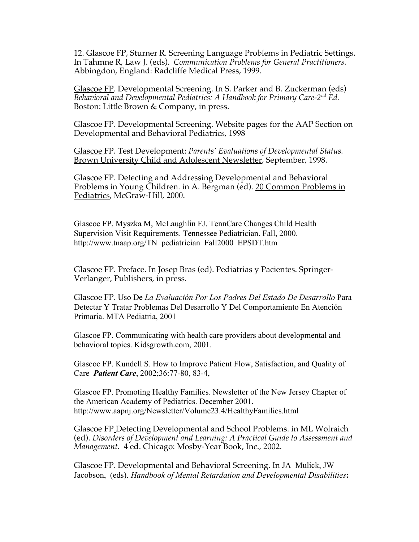12. Glascoe FP, Sturner R. Screening Language Problems in Pediatric Settings. In Tahmne R, Law J. (eds). *Communication Problems for General Practitioners.* Abbingdon, England: Radcliffe Medical Press, 1999.

Glascoe FP. Developmental Screening. In S. Parker and B. Zuckerman (eds) *Behavioral and Developmental Pediatrics: A Handbook for Primary Care-2nd Ed.* Boston: Little Brown & Company, in press.

Glascoe FP. Developmental Screening. Website pages for the AAP Section on Developmental and Behavioral Pediatrics, 1998

Glascoe FP. Test Development: *Parents' Evaluations of Developmental Status.* Brown University Child and Adolescent Newsletter, September, 1998.

Glascoe FP. Detecting and Addressing Developmental and Behavioral Problems in Young Children. in A. Bergman (ed). 20 Common Problems in Pediatrics, McGraw-Hill, 2000.

Glascoe FP, Myszka M, McLaughlin FJ. TennCare Changes Child Health Supervision Visit Requirements. Tennessee Pediatrician. Fall, 2000. http://www.tnaap.org/TN\_pediatrician\_Fall2000\_EPSDT.htm

Glascoe FP. Preface. In Josep Bras (ed). Pediatrias y Pacientes. Springer-Verlanger, Publishers, in press.

Glascoe FP. Uso De *La Evaluación Por Los Padres Del Estado De Desarrollo* Para Detectar Y Tratar Problemas Del Desarrollo Y Del Comportamiento En Atención Primaria. MTA Pediatria, 2001

Glascoe FP. Communicating with health care providers about developmental and behavioral topics. Kidsgrowth.com, 2001.

Glascoe FP. Kundell S. How to Improve Patient Flow, Satisfaction, and Quality of Care *Patient Care*, 2002;36:77-80, 83-4,

Glascoe FP. Promoting Healthy Families*.* Newsletter of the New Jersey Chapter of the American Academy of Pediatrics. December 2001. http://www.aapnj.org/Newsletter/Volume23.4/HealthyFamilies.html

Glascoe FP Detecting Developmental and School Problems. in ML Wolraich (ed). *Disorders of Development and Learning: A Practical Guide to Assessment and Management.* 4 ed. Chicago: Mosby-Year Book, Inc., 2002.

Glascoe FP. Developmental and Behavioral Screening. In JA Mulick, JW Jacobson, (eds). *Handbook of Mental Retardation and Developmental Disabilities*: